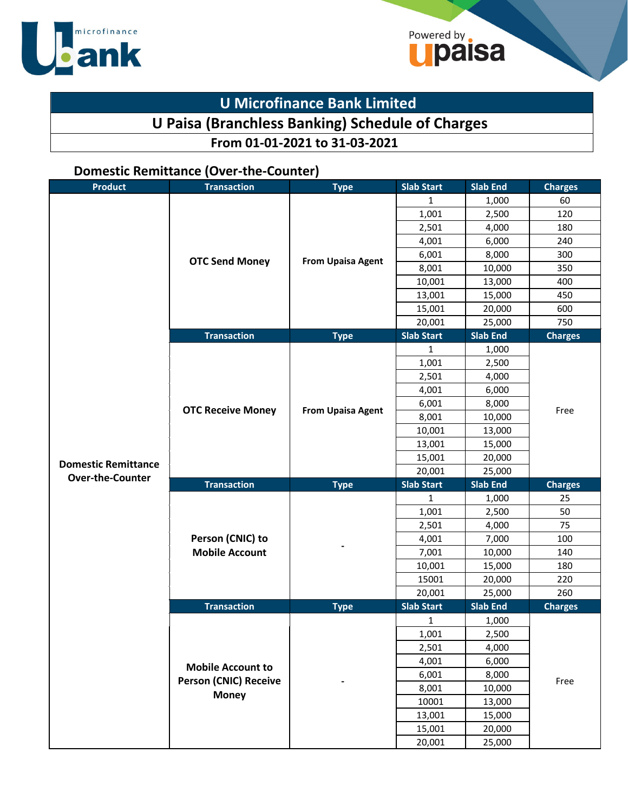

## **U Microfinance Bank Limited**

## **U Paisa (Branchless Banking) Schedule of Charges**

Powered by **Sales** 

## **From 01-01-2021 to 31-03-2021**

### **Domestic Remittance (Over-the-Counter)**

| <b>Product</b>             | <b>Transaction</b>           | <b>Type</b>                                | <b>Slab Start</b> | <b>Slab End</b> | <b>Charges</b> |
|----------------------------|------------------------------|--------------------------------------------|-------------------|-----------------|----------------|
|                            |                              |                                            | 1                 | 1,000           | 60             |
|                            |                              |                                            | 1,001             | 2,500           | 120            |
|                            |                              |                                            | 2,501             | 4,000           | 180            |
|                            |                              |                                            | 4,001             | 6,000           | 240            |
|                            | <b>OTC Send Money</b>        | <b>From Upaisa Agent</b>                   | 6,001             | 8,000           | 300            |
|                            |                              |                                            | 8,001             | 10,000          | 350            |
|                            |                              |                                            | 10,001            | 13,000          | 400            |
|                            |                              |                                            | 13,001            | 15,000          | 450            |
|                            |                              |                                            | 15,001            | 20,000          | 600            |
|                            |                              |                                            | 20,001            | 25,000          | 750            |
|                            | <b>Transaction</b>           | <b>Type</b>                                | <b>Slab Start</b> | <b>Slab End</b> | <b>Charges</b> |
|                            |                              |                                            | 1                 | 1,000           |                |
|                            |                              |                                            | 1,001             | 2,500           |                |
|                            |                              |                                            | 2,501             | 4,000           |                |
|                            |                              | 4,001<br>6,001<br><b>From Upaisa Agent</b> | 6,000             |                 |                |
|                            | <b>OTC Receive Money</b>     |                                            |                   | 8,000           | Free           |
|                            |                              |                                            | 8,001             | 10,000          |                |
|                            |                              |                                            | 10,001            | 13,000          |                |
|                            |                              |                                            | 13,001            | 15,000          |                |
| <b>Domestic Remittance</b> |                              |                                            | 15,001            | 20,000          |                |
| <b>Over-the-Counter</b>    |                              |                                            | 20,001            | 25,000          |                |
|                            | <b>Transaction</b>           | <b>Type</b>                                | <b>Slab Start</b> | <b>Slab End</b> | <b>Charges</b> |
|                            |                              |                                            | 1                 | 1,000           | 25             |
|                            |                              |                                            | 1,001             | 2,500           | 50             |
|                            |                              |                                            | 2,501             | 4,000           | 75             |
|                            | Person (CNIC) to             |                                            | 4,001             | 7,000           | 100            |
|                            | <b>Mobile Account</b>        |                                            | 7,001             | 10,000          | 140            |
|                            |                              |                                            | 10,001            | 15,000          | 180            |
|                            |                              |                                            | 15001             | 20,000          | 220            |
|                            |                              |                                            | 20,001            | 25,000          | 260            |
|                            | <b>Transaction</b>           | <b>Type</b>                                | <b>Slab Start</b> | <b>Slab End</b> | <b>Charges</b> |
|                            |                              |                                            | 1                 | 1,000           |                |
|                            |                              |                                            | 1,001             | 2,500           |                |
|                            |                              |                                            | 2,501             | 4,000           |                |
|                            | <b>Mobile Account to</b>     |                                            | 4,001             | 6,000           |                |
|                            | <b>Person (CNIC) Receive</b> |                                            | 6,001             | 8,000           | Free           |
|                            | <b>Money</b>                 |                                            | 8,001             | 10,000          |                |
|                            |                              |                                            | 10001             | 13,000          |                |
|                            |                              |                                            | 13,001            | 15,000          |                |
|                            |                              |                                            | 15,001            | 20,000          |                |
|                            |                              |                                            | 20,001            | 25,000          |                |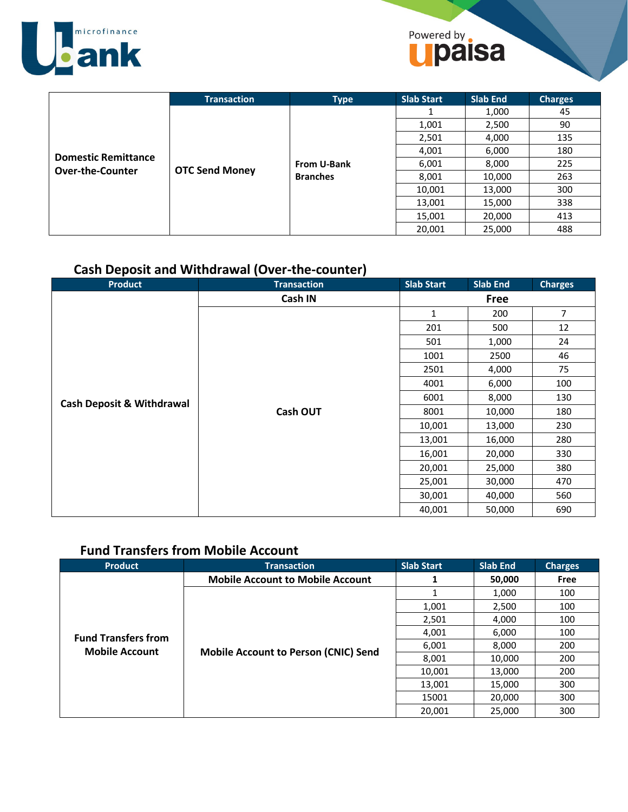

## Powered by **Daisa**

|                                                       | <b>Transaction</b>    | <b>Type</b>                    | <b>Slab Start</b> | <b>Slab End</b> | <b>Charges</b> |
|-------------------------------------------------------|-----------------------|--------------------------------|-------------------|-----------------|----------------|
|                                                       | <b>OTC Send Money</b> |                                |                   | 1,000           | 45             |
|                                                       |                       |                                | 1,001             | 2,500           | 90             |
|                                                       |                       | From U-Bank<br><b>Branches</b> | 2,501             | 4,000           | 135            |
| <b>Domestic Remittance</b><br><b>Over-the-Counter</b> |                       |                                | 4,001             | 6,000           | 180            |
|                                                       |                       |                                | 6,001             | 8,000           | 225            |
|                                                       |                       |                                | 8,001             | 10,000          | 263            |
|                                                       |                       |                                | 10,001            | 13,000          | 300            |
|                                                       |                       |                                | 13,001            | 15,000          | 338            |
|                                                       |                       |                                | 15,001            | 20,000          | 413            |
|                                                       |                       |                                | 20,001            | 25,000          | 488            |

## **Cash Deposit and Withdrawal (Over-the-counter)**

| <b>Product</b>                       | <b>Transaction</b> | <b>Slab Start</b>                    | <b>Slab End</b> | <b>Charges</b> |     |  |
|--------------------------------------|--------------------|--------------------------------------|-----------------|----------------|-----|--|
|                                      | Cash IN            |                                      | Free            |                |     |  |
|                                      |                    | 1                                    | 200             | $\overline{7}$ |     |  |
|                                      |                    | 201                                  | 500             | 12             |     |  |
|                                      |                    | 501                                  | 1,000           | 24             |     |  |
|                                      |                    | 1001<br>2500                         | 46              |                |     |  |
|                                      |                    | 2501                                 | 4,000           | 75             |     |  |
| <b>Cash Deposit &amp; Withdrawal</b> |                    |                                      | 4001            | 6,000          | 100 |  |
|                                      |                    | 6001                                 | 8,000           | 130            |     |  |
|                                      | <b>Cash OUT</b>    | 8001<br>10,000                       |                 | 180            |     |  |
|                                      |                    | 10,001                               | 13,000          | 230            |     |  |
|                                      |                    | 13,001                               | 16,000          | 280            |     |  |
|                                      |                    | 16,001                               | 20,000          | 330            |     |  |
|                                      |                    | 20,001                               | 25,000          | 380            |     |  |
|                                      |                    | 25,001                               | 30,000          | 470            |     |  |
|                                      |                    | 30,001<br>40,000<br>40,001<br>50,000 | 560             |                |     |  |
|                                      |                    |                                      |                 | 690            |     |  |

## **Fund Transfers from Mobile Account**

| <b>Product</b>             | <b>Transaction</b>                          | <b>Slab Start</b>       | <b>Slab End</b>            | <b>Charges</b> |
|----------------------------|---------------------------------------------|-------------------------|----------------------------|----------------|
|                            | <b>Mobile Account to Mobile Account</b>     | 1                       | 50,000                     | Free           |
|                            |                                             |                         | 1,000                      | 100            |
|                            |                                             | 1,001                   | 2,500<br>4,000<br>6,000    | 100            |
|                            |                                             | 2,501                   |                            | 100            |
| <b>Fund Transfers from</b> |                                             | 4,001<br>6,001<br>8,000 | 100                        |                |
| <b>Mobile Account</b>      | <b>Mobile Account to Person (CNIC) Send</b> |                         |                            | 200            |
|                            |                                             | 8,001                   | 10,000<br>13,000<br>15,000 | 200            |
|                            |                                             | 10,001                  |                            | 200            |
|                            |                                             | 13,001                  |                            | 300            |
|                            |                                             | 15001                   | 20,000                     | 300            |
|                            |                                             | 20,001                  | 25,000                     | 300            |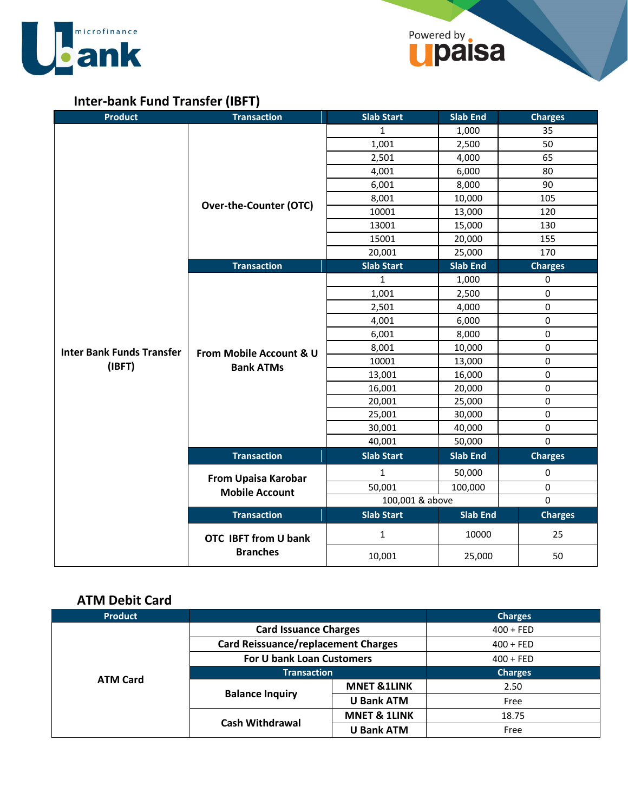



## **Inter-bank Fund Transfer (IBFT)**

| <b>Product</b>                   | <b>Transaction</b>                          | <b>Slab Start</b> | <b>Slab End</b> | <b>Charges</b> |  |
|----------------------------------|---------------------------------------------|-------------------|-----------------|----------------|--|
|                                  |                                             | $\mathbf{1}$      | 1,000           | 35             |  |
|                                  |                                             | 1,001             | 2,500           | 50             |  |
|                                  |                                             | 2,501             | 4,000           | 65             |  |
|                                  |                                             | 4,001             | 6,000           | 80             |  |
|                                  |                                             | 6,001             | 8,000           | 90             |  |
|                                  |                                             | 8,001             | 10,000          | 105            |  |
|                                  | <b>Over-the-Counter (OTC)</b>               | 10001             | 13,000          | 120            |  |
|                                  |                                             | 13001             | 15,000          | 130            |  |
|                                  |                                             | 15001             | 20,000          | 155            |  |
|                                  |                                             | 20,001            | 25,000          | 170            |  |
|                                  | <b>Transaction</b>                          | <b>Slab Start</b> | Slab End        | <b>Charges</b> |  |
|                                  |                                             | $\mathbf{1}$      | 1,000           | 0              |  |
|                                  |                                             | 1,001             | 2,500           | $\pmb{0}$      |  |
|                                  |                                             | 2,501             | 4,000           | $\pmb{0}$      |  |
|                                  | From Mobile Account & U<br><b>Bank ATMs</b> | 4,001             | 6,000           | 0              |  |
|                                  |                                             | 6,001             | 8,000           | 0              |  |
| <b>Inter Bank Funds Transfer</b> |                                             | 8,001             | 10,000          | $\pmb{0}$      |  |
| (IBFT)                           |                                             | 10001             | 13,000          | $\pmb{0}$      |  |
|                                  |                                             | 13,001            | 16,000          | $\pmb{0}$      |  |
|                                  |                                             | 16,001            | 20,000          | 0              |  |
|                                  |                                             | 20,001            | 25,000          | $\pmb{0}$      |  |
|                                  |                                             | 25,001            | 30,000          | $\pmb{0}$      |  |
|                                  |                                             | 30,001            | 40,000          | $\pmb{0}$      |  |
|                                  |                                             | 40,001            | 50,000          | $\Omega$       |  |
|                                  | <b>Transaction</b>                          | <b>Slab Start</b> | <b>Slab End</b> | <b>Charges</b> |  |
|                                  | <b>From Upaisa Karobar</b>                  | $\mathbf{1}$      | 50,000          | $\pmb{0}$      |  |
|                                  | <b>Mobile Account</b>                       | 50,001            | 100,000         | 0              |  |
|                                  |                                             | 100,001 & above   |                 | $\mathbf 0$    |  |
|                                  | <b>Transaction</b>                          | <b>Slab Start</b> | <b>Slab End</b> | <b>Charges</b> |  |
|                                  | <b>OTC IBFT from U bank</b>                 | $\mathbf{1}$      | 10000           | 25             |  |
|                                  | <b>Branches</b>                             | 10,001            | 25,000          | 50             |  |

## **ATM Debit Card**

| <b>Product</b>  |                                            |                         | <b>Charges</b> |
|-----------------|--------------------------------------------|-------------------------|----------------|
|                 | <b>Card Issuance Charges</b>               |                         | $400 + FED$    |
|                 | <b>Card Reissuance/replacement Charges</b> |                         | $400 + FED$    |
|                 | For U bank Loan Customers                  |                         | $400 + FED$    |
| <b>ATM Card</b> | <b>Transaction</b>                         |                         | <b>Charges</b> |
|                 | <b>Balance Inquiry</b>                     | <b>MNET &amp;1LINK</b>  | 2.50           |
|                 |                                            | <b>U Bank ATM</b>       | Free           |
|                 |                                            | <b>MNET &amp; 1LINK</b> | 18.75          |
|                 | <b>Cash Withdrawal</b>                     | <b>U Bank ATM</b>       | Free           |